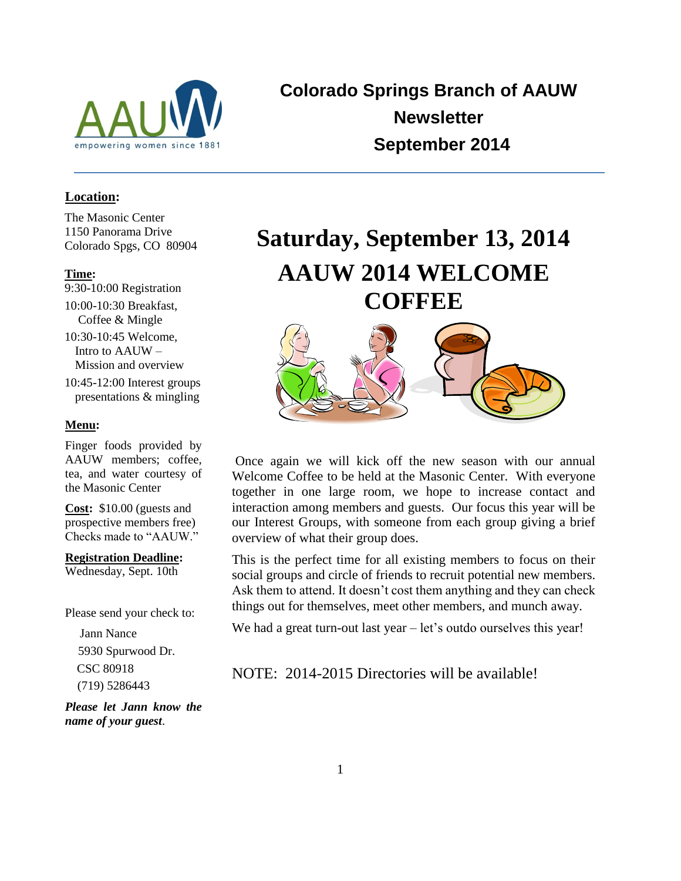

**Colorado Springs Branch of AAUW Newsletter September 2014**

## **Location:**

The Masonic Center 1150 Panorama Drive Colorado Spgs, CO 80904

#### **Time:**

- 9:30-10:00 Registration 10:00-10:30 Breakfast, Coffee & Mingle 10:30-10:45 Welcome, Intro to AAUW – Mission and overview
- 10:45-12:00 Interest groups presentations & mingling

# **Menu:**

Finger foods provided by AAUW members; coffee, tea, and water courtesy of the Masonic Center

**Cost:** \$10.00 (guests and prospective members free) Checks made to "AAUW."

**Registration Deadline:**

Wednesday, Sept. 10th

Please send your check to:

 Jann Nance 5930 Spurwood Dr. CSC 80918 (719) 5286443

*Please let Jann know the name of your guest*.

# **Saturday, September 13, 2014 AAUW 2014 WELCOME COFFEE**



Once again we will kick off the new season with our annual Welcome Coffee to be held at the Masonic Center. With everyone together in one large room, we hope to increase contact and interaction among members and guests. Our focus this year will be our Interest Groups, with someone from each group giving a brief overview of what their group does.

This is the perfect time for all existing members to focus on their social groups and circle of friends to recruit potential new members. Ask them to attend. It doesn't cost them anything and they can check things out for themselves, meet other members, and munch away.

We had a great turn-out last year – let's outdo ourselves this year!

NOTE: 2014-2015 Directories will be available!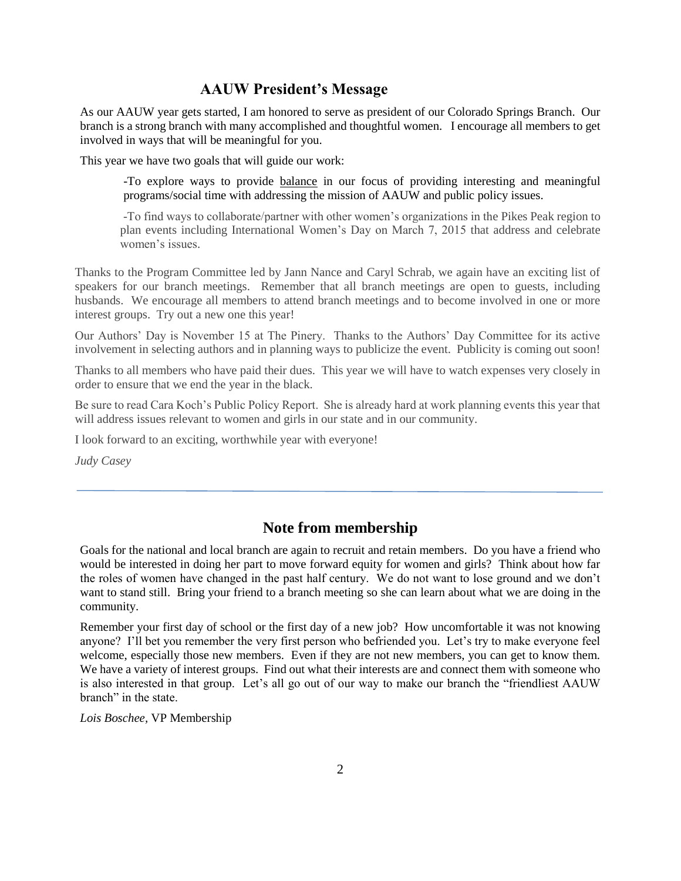# **AAUW President's Message**

As our AAUW year gets started, I am honored to serve as president of our Colorado Springs Branch. Our branch is a strong branch with many accomplished and thoughtful women. I encourage all members to get involved in ways that will be meaningful for you.

This year we have two goals that will guide our work:

-To explore ways to provide balance in our focus of providing interesting and meaningful programs/social time with addressing the mission of AAUW and public policy issues.

-To find ways to collaborate/partner with other women's organizations in the Pikes Peak region to plan events including International Women's Day on March 7, 2015 that address and celebrate women's issues.

Thanks to the Program Committee led by Jann Nance and Caryl Schrab, we again have an exciting list of speakers for our branch meetings. Remember that all branch meetings are open to guests, including husbands. We encourage all members to attend branch meetings and to become involved in one or more interest groups. Try out a new one this year!

Our Authors' Day is November 15 at The Pinery. Thanks to the Authors' Day Committee for its active involvement in selecting authors and in planning ways to publicize the event. Publicity is coming out soon!

Thanks to all members who have paid their dues. This year we will have to watch expenses very closely in order to ensure that we end the year in the black.

Be sure to read Cara Koch's Public Policy Report. She is already hard at work planning events this year that will address issues relevant to women and girls in our state and in our community.

I look forward to an exciting, worthwhile year with everyone!

*Judy Casey* 

# **Note from membership**

Goals for the national and local branch are again to recruit and retain members. Do you have a friend who would be interested in doing her part to move forward equity for women and girls? Think about how far the roles of women have changed in the past half century. We do not want to lose ground and we don't want to stand still. Bring your friend to a branch meeting so she can learn about what we are doing in the community.

Remember your first day of school or the first day of a new job? How uncomfortable it was not knowing anyone? I'll bet you remember the very first person who befriended you. Let's try to make everyone feel welcome, especially those new members. Even if they are not new members, you can get to know them. We have a variety of interest groups. Find out what their interests are and connect them with someone who is also interested in that group. Let's all go out of our way to make our branch the "friendliest AAUW branch" in the state.

*Lois Boschee,* VP Membership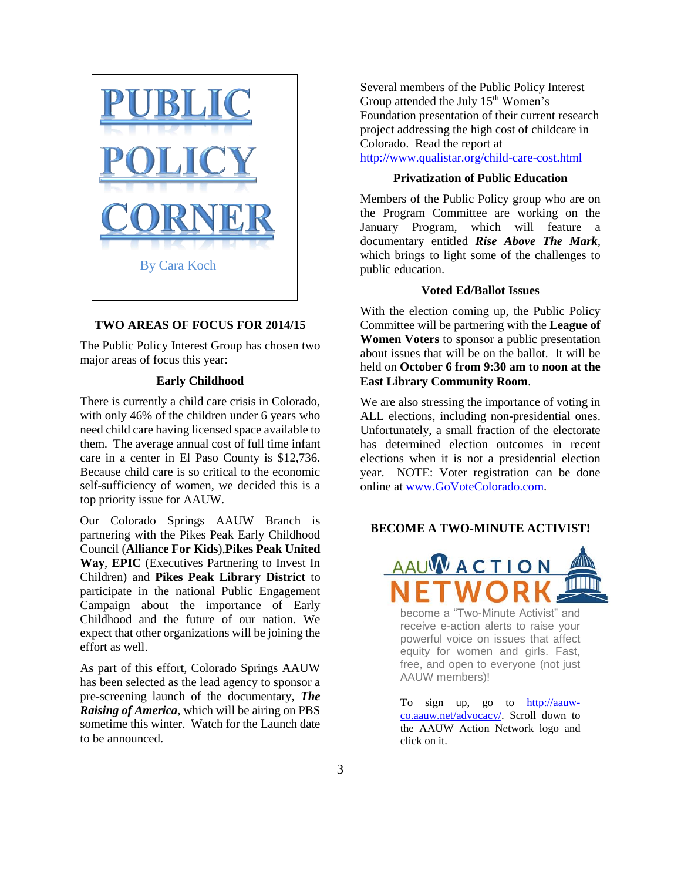

#### **TWO AREAS OF FOCUS FOR 2014/15**

The Public Policy Interest Group has chosen two major areas of focus this year:

#### **Early Childhood**

There is currently a child care crisis in Colorado, with only 46% of the children under 6 years who need child care having licensed space available to them. The average annual cost of full time infant care in a center in El Paso County is \$12,736. Because child care is so critical to the economic self-sufficiency of women, we decided this is a top priority issue for AAUW.

Our Colorado Springs AAUW Branch is partnering with the Pikes Peak Early Childhood Council (**Alliance For Kids**),**Pikes Peak United Way**, **EPIC** (Executives Partnering to Invest In Children) and **Pikes Peak Library District** to participate in the national Public Engagement Campaign about the importance of Early Childhood and the future of our nation. We expect that other organizations will be joining the effort as well.

As part of this effort, Colorado Springs AAUW has been selected as the lead agency to sponsor a pre-screening launch of the documentary, *The Raising of America,* which will be airing on PBS sometime this winter. Watch for the Launch date to be announced.

Several members of the Public Policy Interest Group attended the July 15<sup>th</sup> Women's Foundation presentation of their current research project addressing the high cost of childcare in Colorado. Read the report at <http://www.qualistar.org/child-care-cost.html>

#### **Privatization of Public Education**

Members of the Public Policy group who are on the Program Committee are working on the January Program, which will feature a documentary entitled *Rise Above The Mark,*  which brings to light some of the challenges to public education.

#### **Voted Ed/Ballot Issues**

With the election coming up, the Public Policy Committee will be partnering with the **League of Women Voters** to sponsor a public presentation about issues that will be on the ballot. It will be held on **October 6 from 9:30 am to noon at the East Library Community Room**.

We are also stressing the importance of voting in ALL elections, including non-presidential ones. Unfortunately, a small fraction of the electorate has determined election outcomes in recent elections when it is not a presidential election year. NOTE: Voter registration can be done online at [www.GoVoteColorado.com.](http://www.govotecolorado.com/)

#### **BECOME A TWO-MINUTE ACTIVIST!**



become a "Two-Minute Activist" and receive e-action alerts to raise your powerful voice on issues that affect equity for women and girls. Fast, free, and open to everyone (not just AAUW members)!

To sign up, go to [http://aauw](http://aauw-co.aauw.net/advocacy/)[co.aauw.net/advocacy/.](http://aauw-co.aauw.net/advocacy/) Scroll down to the AAUW Action Network logo and click on it.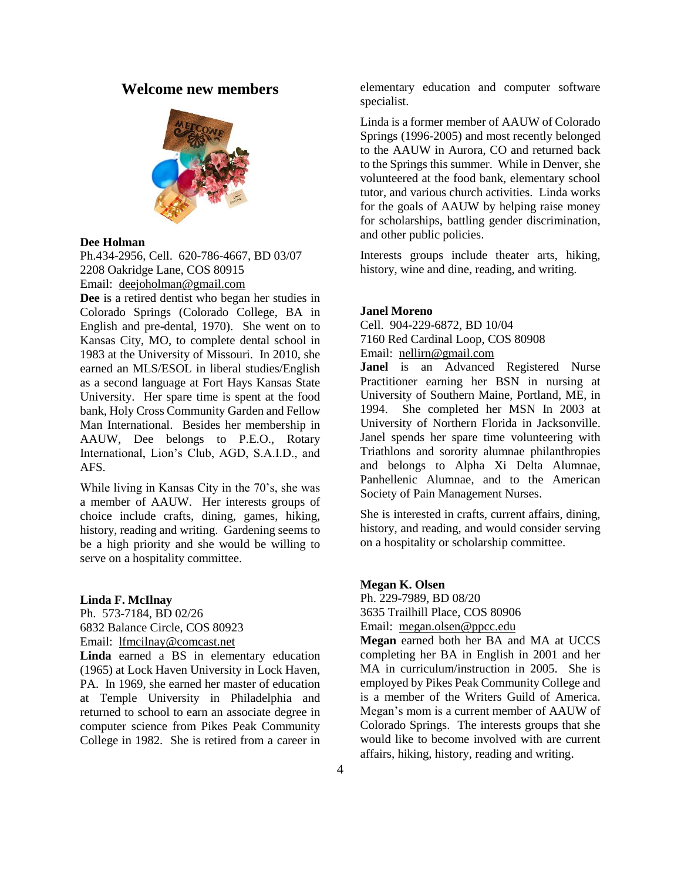# **Welcome new members**



#### **Dee Holman**

Ph.434-2956, Cell. 620-786-4667, BD 03/07 2208 Oakridge Lane, COS 80915 Email: [deejoholman@gmail.com](mailto:deejoholman@gmail.com)

**Dee** is a retired dentist who began her studies in Colorado Springs (Colorado College, BA in English and pre-dental, 1970). She went on to Kansas City, MO, to complete dental school in 1983 at the University of Missouri. In 2010, she earned an MLS/ESOL in liberal studies/English as a second language at Fort Hays Kansas State University. Her spare time is spent at the food bank, Holy Cross Community Garden and Fellow Man International. Besides her membership in AAUW, Dee belongs to P.E.O., Rotary International, Lion's Club, AGD, S.A.I.D., and AFS.

While living in Kansas City in the 70's, she was a member of AAUW. Her interests groups of choice include crafts, dining, games, hiking, history, reading and writing. Gardening seems to be a high priority and she would be willing to serve on a hospitality committee.

#### **Linda F. McIlnay**

Ph. 573-7184, BD 02/26 6832 Balance Circle, COS 80923 Email: [lfmcilnay@comcast.net](mailto:lfmcilnay@comcast.net)

**Linda** earned a BS in elementary education (1965) at Lock Haven University in Lock Haven, PA. In 1969, she earned her master of education at Temple University in Philadelphia and returned to school to earn an associate degree in computer science from Pikes Peak Community College in 1982. She is retired from a career in elementary education and computer software specialist.

Linda is a former member of AAUW of Colorado Springs (1996-2005) and most recently belonged to the AAUW in Aurora, CO and returned back to the Springs this summer. While in Denver, she volunteered at the food bank, elementary school tutor, and various church activities. Linda works for the goals of AAUW by helping raise money for scholarships, battling gender discrimination, and other public policies.

Interests groups include theater arts, hiking, history, wine and dine, reading, and writing.

#### **Janel Moreno**

Cell. 904-229-6872, BD 10/04 7160 Red Cardinal Loop, COS 80908

Email: [nellirn@gmail.com](mailto:nellirn@gmail.com)

**Janel** is an Advanced Registered Nurse Practitioner earning her BSN in nursing at University of Southern Maine, Portland, ME, in 1994. She completed her MSN In 2003 at University of Northern Florida in Jacksonville. Janel spends her spare time volunteering with Triathlons and sorority alumnae philanthropies and belongs to Alpha Xi Delta Alumnae, Panhellenic Alumnae, and to the American Society of Pain Management Nurses.

She is interested in crafts, current affairs, dining, history, and reading, and would consider serving on a hospitality or scholarship committee.

**Megan K. Olsen**

Ph. 229-7989, BD 08/20

3635 Trailhill Place, COS 80906

Email: [megan.olsen@ppcc.edu](mailto:megan.olsen@ppcc.edu)

**Megan** earned both her BA and MA at UCCS completing her BA in English in 2001 and her MA in curriculum/instruction in 2005. She is employed by Pikes Peak Community College and is a member of the Writers Guild of America. Megan's mom is a current member of AAUW of Colorado Springs. The interests groups that she would like to become involved with are current affairs, hiking, history, reading and writing.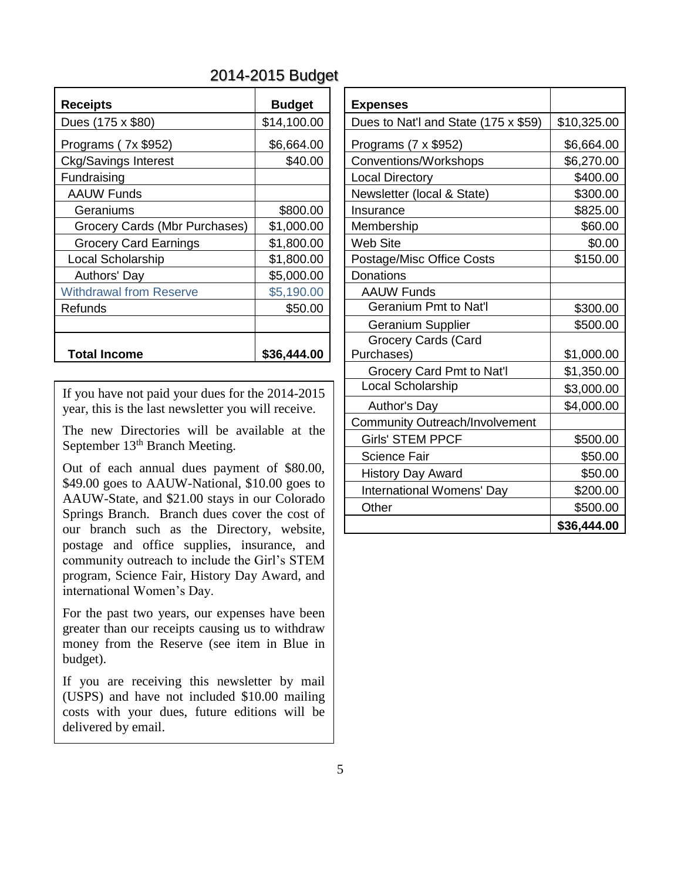# 2014-2015 Budget

| <b>Receipts</b>                | <b>Budget</b> | <b>Expenses</b>                    |  |
|--------------------------------|---------------|------------------------------------|--|
| Dues (175 x \$80)              | \$14,100.00   | Dues to Nat'l ar                   |  |
| Programs (7x \$952)            | \$6,664.00    | Programs (7 x \$                   |  |
| <b>Ckg/Savings Interest</b>    | \$40.00       | Conventions/W                      |  |
| Fundraising                    |               | <b>Local Directory</b>             |  |
| <b>AAUW Funds</b>              |               | Newsletter (loca                   |  |
| Geraniums                      | \$800.00      | Insurance                          |  |
| Grocery Cards (Mbr Purchases)  | \$1,000.00    | Membership                         |  |
| <b>Grocery Card Earnings</b>   | \$1,800.00    | <b>Web Site</b>                    |  |
| <b>Local Scholarship</b>       | \$1,800.00    | Postage/Misc C<br><b>Donations</b> |  |
| Authors' Day                   | \$5,000.00    |                                    |  |
| <b>Withdrawal from Reserve</b> | \$5,190.00    | <b>AAUW Funds</b>                  |  |
| Refunds                        | \$50.00       | Geranium Pi                        |  |
|                                |               | Geranium S                         |  |
|                                |               | <b>Grocery Car</b>                 |  |
| <b>Total Income</b>            | \$36,444.00   | Purchases)                         |  |
|                                |               |                                    |  |

Out of each annual dues payment of \$80.00, \$49.00 goes to AAUW-National, \$10.00 goes to AAUW-State, and \$21.00 stays in our Colorado Springs Branch. Branch dues cover the cost of our branch such as the Directory, website, postage and office supplies, insurance, and community outreach to include the Girl's STEM program, Science Fair, History Day Award, and international Women's Day.

For the past two years, our expenses have been greater than our receipts causing us to withdraw money from the Reserve (see item in Blue in budget).

If you are receiving this newsletter by mail (USPS) and have not included \$10.00 mailing costs with your dues, future editions will be delivered by email.

| <b>Receipts</b>                                                                                                                                  | <b>Budget</b> | <b>Expenses</b>                       |             |
|--------------------------------------------------------------------------------------------------------------------------------------------------|---------------|---------------------------------------|-------------|
| Dues (175 x \$80)                                                                                                                                | \$14,100.00   | Dues to Nat'l and State (175 x \$59)  | \$10,325.00 |
| Programs (7x \$952)                                                                                                                              | \$6,664.00    | Programs $(7 \times $952)$            | \$6,664.00  |
| <b>Ckg/Savings Interest</b>                                                                                                                      | \$40.00       | Conventions/Workshops                 | \$6,270.00  |
| Fundraising                                                                                                                                      |               | <b>Local Directory</b>                | \$400.00    |
| <b>AAUW Funds</b>                                                                                                                                |               | Newsletter (local & State)            | \$300.00    |
| Geraniums                                                                                                                                        | \$800.00      | Insurance                             | \$825.00    |
| Grocery Cards (Mbr Purchases)                                                                                                                    | \$1,000.00    | Membership                            | \$60.00     |
| <b>Grocery Card Earnings</b>                                                                                                                     | \$1,800.00    | <b>Web Site</b>                       | \$0.00      |
| Local Scholarship                                                                                                                                | \$1,800.00    | Postage/Misc Office Costs             | \$150.00    |
| Authors' Day                                                                                                                                     | \$5,000.00    | <b>Donations</b>                      |             |
| <b>Withdrawal from Reserve</b>                                                                                                                   | \$5,190.00    | <b>AAUW Funds</b>                     |             |
| Refunds                                                                                                                                          | \$50.00       | <b>Geranium Pmt to Nat'l</b>          | \$300.00    |
|                                                                                                                                                  |               | Geranium Supplier                     | \$500.00    |
| <b>Total Income</b>                                                                                                                              | \$36,444.00   | Grocery Cards (Card<br>Purchases)     | \$1,000.00  |
|                                                                                                                                                  |               | Grocery Card Pmt to Nat'l             | \$1,350.00  |
| If you have not paid your dues for the 2014-2015                                                                                                 |               | Local Scholarship                     | \$3,000.00  |
| year, this is the last newsletter you will receive.                                                                                              |               | Author's Day                          | \$4,000.00  |
| The new Directories will be available at the                                                                                                     |               | <b>Community Outreach/Involvement</b> |             |
| September 13 <sup>th</sup> Branch Meeting.                                                                                                       |               | <b>Girls' STEM PPCF</b>               | \$500.00    |
|                                                                                                                                                  |               | <b>Science Fair</b>                   | \$50.00     |
| Out of each annual dues payment of \$80.00,                                                                                                      |               | <b>History Day Award</b>              | \$50.00     |
| \$49.00 goes to AAUW-National, \$10.00 goes to<br>AAUW-State, and \$21.00 stays in our Colorado<br>Springs Branch. Branch dues cover the cost of |               | International Womens' Day             | \$200.00    |
|                                                                                                                                                  |               | Other                                 | \$500.00    |
| our branch such as the Directory website                                                                                                         |               |                                       | \$36,444.00 |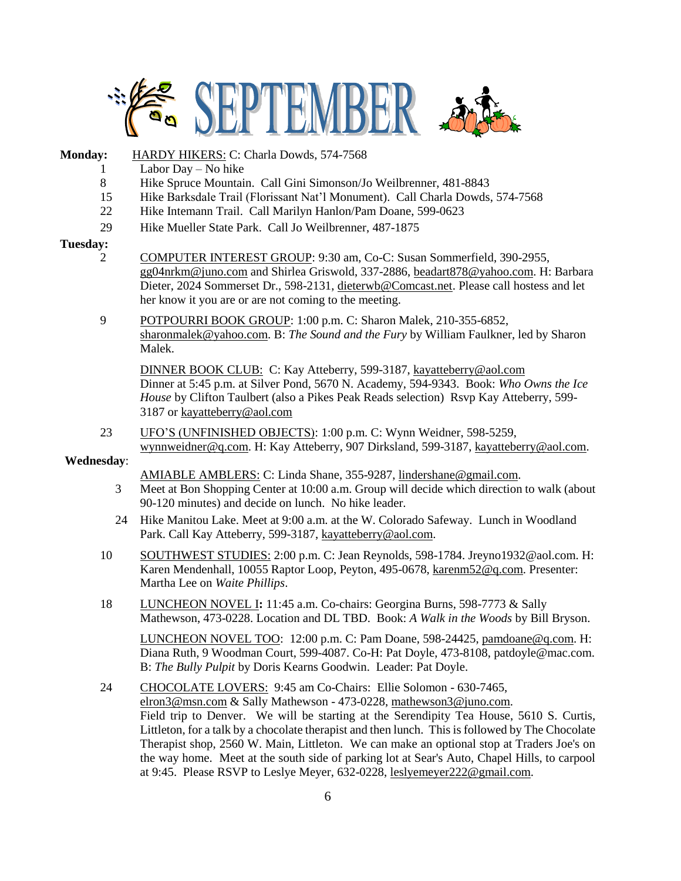

### **Monday:** HARDY HIKERS: C: Charla Dowds, 574-7568

- 1 Labor Day No hike
- 8 Hike Spruce Mountain. Call Gini Simonson/Jo Weilbrenner, 481-8843
- 15 Hike Barksdale Trail (Florissant Nat'l Monument). Call Charla Dowds, 574-7568
- 22 Hike Intemann Trail. Call Marilyn Hanlon/Pam Doane, 599-0623
- 29 Hike Mueller State Park. Call Jo Weilbrenner, 487-1875

#### **Tuesday:**

- 2 COMPUTER INTEREST GROUP: 9:30 am, Co-C: Susan Sommerfield, 390-2955, [gg04nrkm@juno.com](mailto:gg04nrkm@juno.com) and Shirlea Griswold, 337-2886, [beadart878@yahoo.com.](mailto:beadart878@yahoo.com) H: Barbara Dieter, 2024 Sommerset Dr., 598-2131, [dieterwb@Comcast.net.](mailto:dieterwb@Comcast.net) Please call hostess and let her know it you are or are not coming to the meeting.
- 9 POTPOURRI BOOK GROUP: 1:00 p.m. C: Sharon Malek, 210-355-6852, [sharonmalek@yahoo.com.](mailto:sharonmalek@yahoo.com) B: *The Sound and the Fury* by William Faulkner, led by Sharon Malek.

DINNER BOOK CLUB: C: Kay Atteberry, 599-3187[, kayatteberry@aol.co](mailto:kayatteberry@aol.c)m Dinner at 5:45 p.m. at Silver Pond, 5670 N. Academy, 594-9343. Book: *Who Owns the Ice House* by Clifton Taulbert (also a Pikes Peak Reads selection) Rsvp Kay Atteberry, 599- 3187 o[r kayatteberry@aol.com](javascript:window.top.ZmObjectManager.__doClickObject(document.getElementById(%22OBJ_PREFIX_DWT750_com_zimbra_email%22));)

23 UFO'S (UNFINISHED OBJECTS): 1:00 p.m. C: Wynn Weidner, 598-5259, [wynnweidner@q.com.](mailto:wynnweidner@q.com) H: Kay Atteberry, 907 Dirksland, 599-3187, kayatteberry@aol.com.

#### **Wednesday**:

- AMIABLE AMBLERS: C: Linda Shane, 355-9287, lindershane@gmail.com.
- 3 Meet at Bon Shopping Center at 10:00 a.m. Group will decide which direction to walk (about 90-120 minutes) and decide on lunch. No hike leader.
- 24 Hike Manitou Lake. Meet at 9:00 a.m. at the W. Colorado Safeway. Lunch in Woodland Park. Call Kay Atteberry, 599-3187, kayatteberry@aol.com.
- 10 SOUTHWEST STUDIES: 2:00 p.m. C: Jean Reynolds, 598-1784. Jreyno1932@aol.com. H: Karen Mendenhall, 10055 Raptor Loop, Peyton, 495-0678, [karenm52@q.com.](mailto:karenm52@q.com) Presenter: Martha Lee on *Waite Phillips*.
- 18 LUNCHEON NOVEL I**:** 11:45 a.m. Co-chairs: Georgina Burns, 598-7773 & Sally Mathewson, 473-0228. Location and DL TBD. Book: *A Walk in the Woods* by Bill Bryson.

LUNCHEON NOVEL TOO: 12:00 p.m. C: Pam Doane, 598-24425, pamdoane@q.com. H: Diana Ruth, 9 Woodman Court, 599-4087. Co-H: Pat Doyle, 473-8108, patdoyle@mac.com. B: *The Bully Pulpit* by Doris Kearns Goodwin. Leader: Pat Doyle.

24 CHOCOLATE LOVERS: 9:45 am Co-Chairs: Ellie Solomon - 630-7465, [elron3@msn.com](mailto:elron3@msn.com) & Sally Mathewson - 473-0228, [mathewson3@juno.com.](mailto:mathewson3@juno.com) Field trip to Denver. We will be starting at the Serendipity Tea House, 5610 S. Curtis, Littleton, for a talk by a chocolate therapist and then lunch. This is followed by The Chocolate Therapist shop, 2560 W. Main, Littleton. We can make an optional stop at Traders Joe's on the way home. Meet at the south side of parking lot at Sear's Auto, Chapel Hills, to carpool at 9:45. Please RSVP to Leslye Meyer, 632-0228, [leslyemeyer222@gmail.com.](mailto:leslyemeyer222@gmail.com)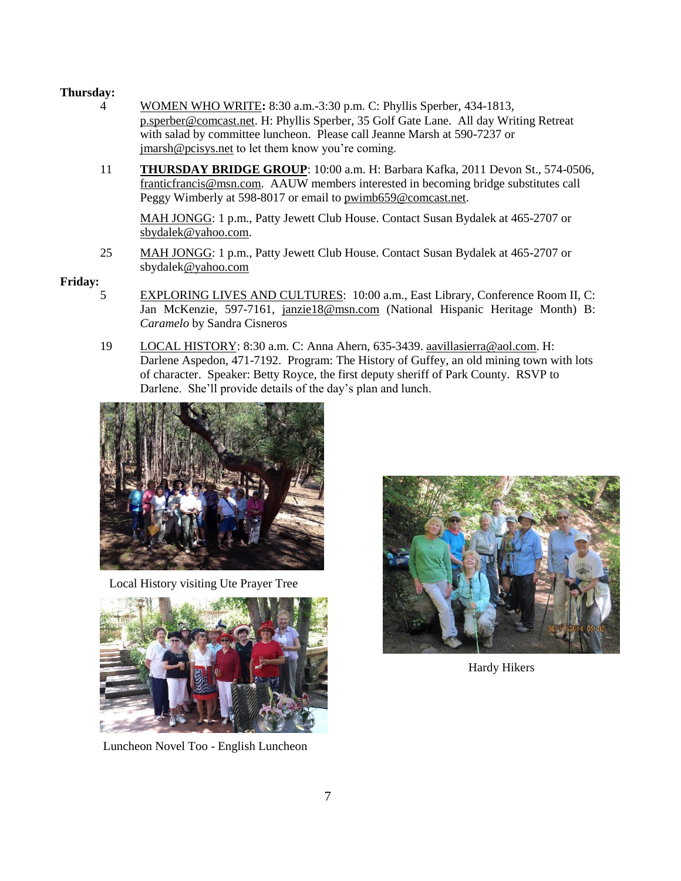## **Thursday:**

- 4 WOMEN WHO WRITE**:** 8:30 a.m.-3:30 p.m. C: Phyllis Sperber, 434-1813, [p.sperber@comcast.net.](mailto:p.sperber@comcast.net) H: Phyllis Sperber, 35 Golf Gate Lane. All day Writing Retreat with salad by committee luncheon. Please call Jeanne Marsh at 590-7237 or [jmarsh@pcisys.net](mailto:jmarsh@pcisys.net) to let them know you're coming.
- 11 **THURSDAY BRIDGE GROUP**: 10:00 a.m. H: Barbara Kafka, 2011 Devon St., 574-0506, franticfrancis@msn.com. AAUW members interested in becoming bridge substitutes call Peggy Wimberly at 598-8017 or email to [pwimb659@comcast.net.](mailto:pwimb659@comcast.net)

MAH JONGG: 1 p.m., Patty Jewett Club House. Contact Susan Bydalek at 465-2707 or [sbydalek@yahoo.com.](mailto:sbydalek@yahoo.com)

25 MAH JONGG: 1 p.m., Patty Jewett Club House. Contact Susan Bydalek at 465-2707 or [sbydalek@yahoo.com](mailto:sbydalek@yahoo.com)

## **Friday:**

- 5 EXPLORING LIVES AND CULTURES: 10:00 a.m., East Library, Conference Room II, C: Jan McKenzie, 597-7161, [janzie18@msn.com](javascript:window.top.ZmObjectManager.__doClickObject(document.getElementById(%22OBJ_PREFIX_DWT2419_com_zimbra_email%22));) (National Hispanic Heritage Month) B: *Caramelo* by Sandra Cisneros
- 19 LOCAL HISTORY: 8:30 a.m. C: Anna Ahern, 635-3439. [aavillasierra@aol.com.](mailto:aavillasierra@aol.com) H: Darlene Aspedon, 471-7192. Program: The History of Guffey, an old mining town with lots of character. Speaker: Betty Royce, the first deputy sheriff of Park County. RSVP to Darlene. She'll provide details of the day's plan and lunch.



Local History visiting Ute Prayer Tree



Luncheon Novel Too - English Luncheon



Hardy Hikers